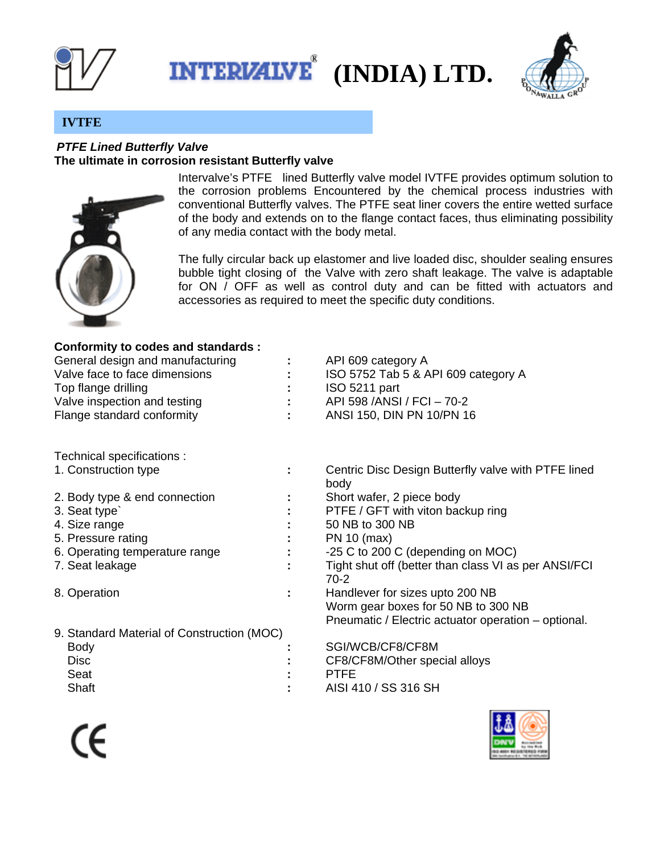





## **IVTFE**

## *PTFE Lined Butterfly Valve*  **The ultimate in corrosion resistant Butterfly valve**



Intervalve's PTFE lined Butterfly valve model IVTFE provides optimum solution to the corrosion problems Encountered by the chemical process industries with conventional Butterfly valves. The PTFE seat liner covers the entire wetted surface of the body and extends on to the flange contact faces, thus eliminating possibility of any media contact with the body metal.

The fully circular back up elastomer and live loaded disc, shoulder sealing ensures bubble tight closing of the Valve with zero shaft leakage. The valve is adaptable for ON / OFF as well as control duty and can be fitted with actuators and accessories as required to meet the specific duty conditions.

## **Conformity to codes and standards :**

| General design and manufacturing | $\mathbf{L}^{\text{max}}$ | API 609 category A                  |
|----------------------------------|---------------------------|-------------------------------------|
| Valve face to face dimensions    |                           | ISO 5752 Tab 5 & API 609 category A |
| Top flange drilling              |                           | ISO 5211 part                       |
| Valve inspection and testing     | $\mathcal{L}$             | API 598 / ANSI / FCI - 70-2         |
| Flange standard conformity       | $\mathbf{L}$              | ANSI 150, DIN PN 10/PN 16           |
|                                  |                           |                                     |

Technical specifications :

1. Construction type **:** Centric Disc Design Butterfly valve with PTFE lined

|                                            | body                                                 |
|--------------------------------------------|------------------------------------------------------|
| 2. Body type & end connection              | Short wafer, 2 piece body                            |
| 3. Seat type                               | PTFE / GFT with viton backup ring                    |
| 4. Size range                              | 50 NB to 300 NB                                      |
| 5. Pressure rating                         | PN 10 (max)                                          |
| 6. Operating temperature range             | -25 C to 200 C (depending on MOC)                    |
| 7. Seat leakage                            | Tight shut off (better than class VI as per ANSI/FCI |
|                                            | 70-2                                                 |
| 8. Operation                               | Handlever for sizes upto 200 NB                      |
|                                            | Worm gear boxes for 50 NB to 300 NB                  |
|                                            | Pneumatic / Electric actuator operation – optional.  |
| 9. Standard Material of Construction (MOC) |                                                      |
| Body                                       | SGI/WCB/CF8/CF8M                                     |

| Body        | SGI/WCB/CF8/CF8M              |
|-------------|-------------------------------|
| <b>Disc</b> | CF8/CF8M/Other special alloys |
| Seat        | <b>PTFF</b>                   |
| Shaft       | AISI 410 / SS 316 SH          |